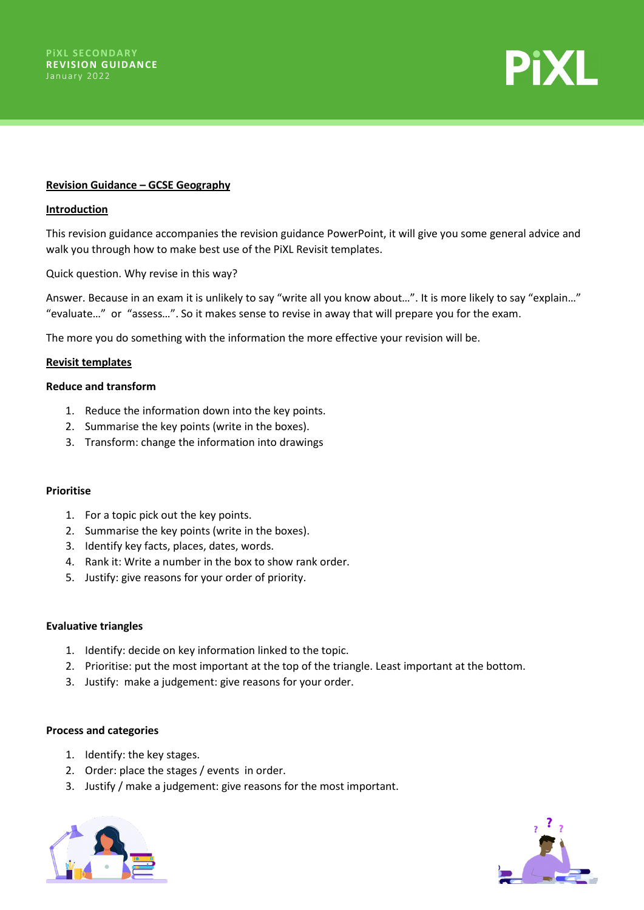

# **Revision Guidance – GCSE Geography**

#### **Introduction**

This revision guidance accompanies the revision guidance PowerPoint, it will give you some general advice and walk you through how to make best use of the PiXL Revisit templates.

Quick question. Why revise in this way?

Answer. Because in an exam it is unlikely to say "write all you know about…". It is more likely to say "explain…" "evaluate…" or "assess…". So it makes sense to revise in away that will prepare you for the exam.

The more you do something with the information the more effective your revision will be.

#### **Revisit templates**

# **Reduce and transform**

- 1. Reduce the information down into the key points.
- 2. Summarise the key points (write in the boxes).
- 3. Transform: change the information into drawings

# **Prioritise**

- 1. For a topic pick out the key points.
- 2. Summarise the key points (write in the boxes).
- 3. Identify key facts, places, dates, words.
- 4. Rank it: Write a number in the box to show rank order.
- 5. Justify: give reasons for your order of priority.

#### **Evaluative triangles**

- 1. Identify: decide on key information linked to the topic.
- 2. Prioritise: put the most important at the top of the triangle. Least important at the bottom.
- 3. Justify: make a judgement: give reasons for your order.

#### **Process and categories**

- 1. Identify: the key stages.
- 2. Order: place the stages / events in order.
- 3. Justify / make a judgement: give reasons for the most important.